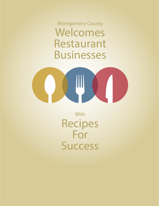Montgomery County **Welcomes Restaurant Businesses**



With **Recipes For Success**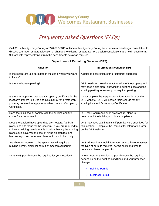

Call 311 in Montgomery County or 240-777-0311 outside of Montgomery County to schedule a pre-design consultation to discuss your new restaurant location or changes to existing restaurants. Pre-design consultations are held Tuesdays at 9:00am with representatives from the departments below as required.

#### **Department of Permitting Services (DPS)**

| A detailed description of the restaurant operation.<br>DPS needs to know the exact location of the property and<br>may need a site plan - showing the existing uses and the<br>existing parking to assess your required parking.<br>If not complete the Request for Information form on the<br>DPS website. DPS will search their records for any<br>existing Use and Occupancy Certificates. |
|-----------------------------------------------------------------------------------------------------------------------------------------------------------------------------------------------------------------------------------------------------------------------------------------------------------------------------------------------------------------------------------------------|
|                                                                                                                                                                                                                                                                                                                                                                                               |
|                                                                                                                                                                                                                                                                                                                                                                                               |
|                                                                                                                                                                                                                                                                                                                                                                                               |
| DPS may require "as built" architectural plans to<br>determine if the building/unit is in compliance.                                                                                                                                                                                                                                                                                         |
| DPS may have existing plans if permits were submitted for<br>this location. Complete the Request for Information form<br>on the DPS website.                                                                                                                                                                                                                                                  |
| DPS will need as much information as you have to assess<br>the type of permits required, permit costs and time to<br>review and issue the permits.                                                                                                                                                                                                                                            |
| One or more of the following permits could be required<br>depending on the existing conditions and your proposed<br>changes:<br><b>Building Permit</b><br><b>Electrical Permit</b>                                                                                                                                                                                                            |
|                                                                                                                                                                                                                                                                                                                                                                                               |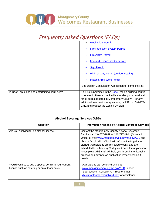

|                                                | <b>Mechanical Permit</b><br>$\bullet$                                                                                                                                                                                                                                                            |
|------------------------------------------------|--------------------------------------------------------------------------------------------------------------------------------------------------------------------------------------------------------------------------------------------------------------------------------------------------|
|                                                | <b>Fire Protection System Permit</b>                                                                                                                                                                                                                                                             |
|                                                | <b>Fire Alarm Permit</b>                                                                                                                                                                                                                                                                         |
|                                                | <b>Use and Occupancy Certificate</b>                                                                                                                                                                                                                                                             |
|                                                | <b>Sign Permit</b>                                                                                                                                                                                                                                                                               |
|                                                | <b>Right of Way Permit (outdoor seating)</b>                                                                                                                                                                                                                                                     |
|                                                | <b>Historic Area Work Permit</b>                                                                                                                                                                                                                                                                 |
|                                                | (See Design Consultation Application for complete list.)                                                                                                                                                                                                                                         |
| Is Roof Top dining and entertaining permitted? | If dining is permitted in the $\overline{Z}$ one, then a building permit<br>is required. Please check with your design professional<br>for all codes adopted in Montgomery County. For any<br>additional information or questions, call 311 or 240-777-<br>0311 and request the Zoning Division. |

#### **Alcohol Beverage Services (ABS)**

| Question                                                                                               | <b>Information Needed by Alcohol Beverage Services</b>                                                                                                                                                                                                                                                                                                                                                                                                                    |
|--------------------------------------------------------------------------------------------------------|---------------------------------------------------------------------------------------------------------------------------------------------------------------------------------------------------------------------------------------------------------------------------------------------------------------------------------------------------------------------------------------------------------------------------------------------------------------------------|
| Are you applying for an alcohol license?                                                               | Contact the Montgomery County Alcohol Beverage<br>Services at 240-777-1999 or 240-777-1904 (Outreach<br>Office) or visit www.montgomerycountymd.gov/ABS and<br>click on "applications" for basic information to get you<br>started. Applications are reviewed weekly and are<br>scheduled for a hearing 30 days out once the application<br>is complete. ABS staff will help you through the licensing<br>process and arrange an application review session if<br>needed. |
| Would you like to add a special permit to your current<br>license such as catering or an outdoor café? | Applications can be found online at<br>www.montgomerycountymd.gov/ABS under<br>"applications". Call 240-777-1999 of email<br>dlc@montgomerycountymd.gov for assistance.                                                                                                                                                                                                                                                                                                   |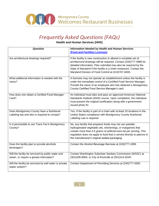

**Health and Human Services (HHS)**

| Question                                                                                 | <b>Information Needed by Health and Human Services</b>                                                                                                                                                                                                                                                                                    |
|------------------------------------------------------------------------------------------|-------------------------------------------------------------------------------------------------------------------------------------------------------------------------------------------------------------------------------------------------------------------------------------------------------------------------------------------|
|                                                                                          | (Food and Facilities Licenses)                                                                                                                                                                                                                                                                                                            |
| Are architectural drawings required?                                                     | If the facility is new construction or altered a complete set of<br>architectural drawings will be required. Contact (240)777-3986 for<br>detailed information. Plan submittal may also be required by the<br>State of Maryland if the facility is a chain restaurant. Contact the<br>Maryland Division of Food Control at (410)767-8400. |
| What additional information is needed with the<br>menu?                                  | A licensee may not operate an establishment unless the facility is<br>under the immediate control of a Certified Food Service Manager.<br>Provide the name of an employee who has obtained a Montgomery<br>County Certified Food Service Manager's card.                                                                                  |
| How does one obtain a Certified Food Manager<br>Card?                                    | An individual must take and pass an approved American National<br>Standards Institute (ANSI) course. Upon completion, the individual<br>must present the original certification along with a government<br>issued photo ID.                                                                                                               |
| Does Montgomery County have a Nutritional<br>Labeling law and who is required to comply? | Yes, If the facility is part of a chain with at least 20 locations in the<br>United States compliance with Montgomery County Nutritional<br>Labeling Law is required.                                                                                                                                                                     |
| Is it permissible to use Trans Fat in Montgomery<br>County?                              | No, any facility that prepares foods may not use partially<br>hydrogenated vegetable oils, shortenings, or margarines that<br>contain more than 0.5 grams of artificial trans fat per serving. This<br>regulation does not apply to food that is served directly to patrons in<br>the manufacturer's original sealed packaging.           |
| Does the facility plan to provide alcoholic<br>beverages?                                | Contact the Alcohol Beverage Services at (240)777-1999.                                                                                                                                                                                                                                                                                   |
| Will the facility be serviced by public water and                                        | Contact Washington Suburban Sanitary Commission (WSSC) at                                                                                                                                                                                                                                                                                 |
| sewer, or require a grease interceptor?                                                  | (301) 206-8000, or City of Rockville at (301) 314-8240.                                                                                                                                                                                                                                                                                   |
| Will the facility be serviced by well water or private<br>septic system?                 | Contact Department of Permitting Services at (240)777-6300                                                                                                                                                                                                                                                                                |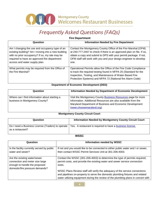

#### **Fire Department**

| Question                                                                                                                                                                                                                                | <b>Information Needed by Fire Department</b>                                                                                                                                                                                                                                             |
|-----------------------------------------------------------------------------------------------------------------------------------------------------------------------------------------------------------------------------------------|------------------------------------------------------------------------------------------------------------------------------------------------------------------------------------------------------------------------------------------------------------------------------------------|
| Am I changing the use and occupancy type of an<br>existing building? Am I moving into a new building<br>with no prior occupancy? If so, my site may be<br>required to have an approved fire department<br>access and water supply plan. | Contact the Montgomery County Office of the Fire Marshal (OFM)<br>at 240-777-2457 to check if there is an approved plan on file. If so,<br>obtain a copy and submit to DPS with your permit package. If not,<br>OFM staff will work with you and your design engineer to develop<br>one. |
| What permits may be required from the Office of<br>the Fire Marshal?                                                                                                                                                                    | Operational Permits allow the Office of the Fire Code Compliance<br>to track the required testing found in NFPA 25 (Standard for the<br>Inspection, Testing, and Maintenance of Water-Based Fire<br>Protection Systems) and NFPA 72 (National fire Alarm Code)                           |

#### **Department of Economic Development (DED)**

| Question                                                                        | Information Needed by Department of Economic Development                                                                                                                                                                      |
|---------------------------------------------------------------------------------|-------------------------------------------------------------------------------------------------------------------------------------------------------------------------------------------------------------------------------|
| Where can I find information about starting a<br>business in Montgomery County? | Visit the Montgomery County <b>Business Resources</b> page for more<br>information. Additional Resources are also available from the<br>Maryland Department of Business and Economic Development<br>(www.choosemaryland.org). |

#### **Montgomery County Circuit Court**

| Question                                                                | Information Needed by Montgomery County Circuit Court     |
|-------------------------------------------------------------------------|-----------------------------------------------------------|
| Do I need a Business License (Traders) to operate  <br>as a restaurant? | Yes. A restaurant is required to have a business license. |

#### **WSSC**

| Question                                                                                                                            | Information needed by WSSC                                                                                                                                                                                                                                                                                                                                                                                             |
|-------------------------------------------------------------------------------------------------------------------------------------|------------------------------------------------------------------------------------------------------------------------------------------------------------------------------------------------------------------------------------------------------------------------------------------------------------------------------------------------------------------------------------------------------------------------|
| Is the facility currently served by public<br>water and sewer?                                                                      | If not and you would like to be connected to either public water and / or sewer,<br>then contact WSSC Permit Services Unit at 301-206-4003.                                                                                                                                                                                                                                                                            |
| Are the existing water/sewer<br>connection and meter size large<br>enough to handle the proposed<br>domestic/fire pressure demands? | Contact the WSSC (301-206-4003) to determine the type of permits required;<br>permit costs, and provide the existing water and sewer service connection<br>sizes.<br>WSSC Plans Review staff will verify the adequacy of the service connections<br>and pipelines on-property to serve the domestic plumbing fixtures and related<br>water utilizing equipment during the review of the plumbing plans in concert with |

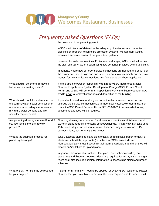

|                                                                                                                                                                                            | the issuance of the plumbing permit.                                                                                                                                                                                                                                                                         |
|--------------------------------------------------------------------------------------------------------------------------------------------------------------------------------------------|--------------------------------------------------------------------------------------------------------------------------------------------------------------------------------------------------------------------------------------------------------------------------------------------------------------|
|                                                                                                                                                                                            | WSSC staff <b>does not</b> determine the adequacy of water service connection or<br>pipelines on-property to serve fire protection systems. Montgomery County<br>requires a separate review of fire protection systems.                                                                                      |
|                                                                                                                                                                                            | However, for water connections 4" diameter and larger, WSSC staff will review<br>the civil "site utility" water design using flow demands provided by the applicant.                                                                                                                                         |
|                                                                                                                                                                                            | In general, where new or larger service connections are needed, the onus is on<br>the owner and their design and construction teams to make timely and accurate<br>request for new service connections and flow demands where applicable.                                                                    |
| What should I do prior to removing<br>fixtures on an existing space?                                                                                                                       | It is the applicant/owner responsibility to hire a WSSC Registered Master<br>Plumber to apply for a System Development Charge (SDC) Fixture Credit<br>Permit and WSSC will perform an inspection to verify the fixture count for SDC<br>credits prior to removal of fixtures and demolition of the building. |
| What should I do if it is determined that<br>the current water, sewer connection or<br>meter size is not adequate to service<br>my future water demand and fire<br>sprinkler requirements? | If you should need to abandon your current water or sewer connection and<br>upgrade the service connection size to meet new water/sewer demands, then<br>contact WSSC Permit Services Unit at 301-206-4003 to review what forms,<br>documents and fees will be required.                                     |
| Are plumbing drawings required? And if<br>so, how long is the plan review<br>process?                                                                                                      | Plumbing drawings are required for all new food service establishments and<br>owner initiated retrofits of existing spaces/buildings. First review may take up to<br>15 business days; subsequent reviews, if needed, may also take up to 15<br>business days, but generally they do not.                    |
| What is the submittal process for<br>plumbing drawings?                                                                                                                                    | WSSC accepts plumbing plans electronically or in full scale paper format. For<br>electronic submittals, applicants (must be a WSSC licensed Master<br>Plumber/Gasfitter), must first submit their permit application, and then they will<br>receive an "invitation" to upload plans.                         |
|                                                                                                                                                                                            | In general, drawings shall include: floor plans, riser schematics (2D), and<br>equipment and fixture schedules. Risers are required for DWV, water, and gas;<br>risers shall also include sufficient information to assess pipe sizing and proper<br>schemes.                                                |
| What WSSC Permits may be required<br>for your project?                                                                                                                                     | A Long Form Permit will need to be applied for by a WSSC Registered Master<br>Plumber that you have hired to perform the work required and to schedule all                                                                                                                                                   |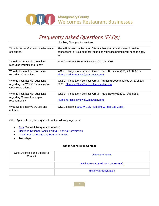

|                                                                                         | plumbing / fuel gas inspections.                                                                                                                        |
|-----------------------------------------------------------------------------------------|---------------------------------------------------------------------------------------------------------------------------------------------------------|
| What is the timeframe for the issuance<br>of Permits?                                   | This will depend on the type of Permit that you (abandonment / service<br>connections) or your plumber (plumbing / fuel gas permits) will need to apply |
|                                                                                         | for.                                                                                                                                                    |
| Who do I contact with questions<br>regarding Permits and Fees?                          | WSSC - Permit Services Unit at (301) 206-4003.                                                                                                          |
| Who do I contact with questions<br>regarding plan review?                               | WSSC - Regulatory Services Group, Plans Review at (301) 206-8886 or<br>PlumbingPlansReview@wsscwater.com                                                |
| Who do I contact with questions<br>regarding the WSSC Plumbing Gas<br>Code Regulations? | WSSC - Regulatory Services Group, Plumbing Code Inquiries at (301) 206-<br>8886. PlumbingPlansReview@wsscwater.com                                      |
| Who do I contact with questions<br>regarding Grease Interceptor                         | WSSC - Regulatory Services Group, Plans Review at (301) 206-8886.                                                                                       |
| requirements?                                                                           | PlumbingPlansReview@wsscwater.com                                                                                                                       |
| What Code does WSSC use and<br>enforce.                                                 | WSSC uses the 2015 WSSC Plumbing & Fuel Gas Code.                                                                                                       |

Other Approvals may be required from the following agencies:

- [SHA](http://www.roads.maryland.gov/Home.aspx) (State Highway Administration)
- [Maryland-National Capital Park & Planning Commission](http://www.mncppc.org/commission_home.html)
- [Department of Health and Human Services](http://www.montgomerycountymd.gov/HHS-Special/LandRindex.html)
- Townships

#### **Other Agencies to Contact**

| Other Agencies and Utilities to<br>Contact | <b>Allegheny Power</b>              |
|--------------------------------------------|-------------------------------------|
|                                            | Baltimore Gas & Electric Co. (BG&E) |
|                                            | <b>Historical Preservation</b>      |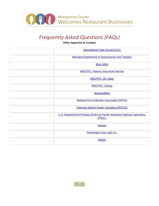

**Other Agencies to Contact**

| <b>International Code Council (ICC)</b>                                            |
|------------------------------------------------------------------------------------|
| <b>Maryland Department of Assessments and Taxation</b>                             |
| <b>Miss Utility</b>                                                                |
| <b>MNCPPC: Historic Area Work Permits</b>                                          |
| <b>MNCPPC: MC Atlas</b>                                                            |
| <b>MNCPPC: Zoning</b>                                                              |
| <b>Municipalities</b>                                                              |
| <b>National Fire Protection Association (NFPA)</b>                                 |
| <b>Potomac Electric Power Company (PEPCO)</b>                                      |
| U.S. Department of Energy (DOE) by Pacific Northwest National Laboratory<br>(PNNL) |
| Verizon                                                                            |
| <b>Washington Gas Light Co.</b>                                                    |
| <b>WSSC</b>                                                                        |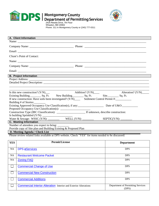

# **DPS** Montgomery County<br>
DPS Department of Permitting Services



Wheaton, MD 20902 Phone: 311 in Montgomery County or (240) 777-0311

|                                                                                                     | A. Client Information                                                                             |                                            |  |  |
|-----------------------------------------------------------------------------------------------------|---------------------------------------------------------------------------------------------------|--------------------------------------------|--|--|
|                                                                                                     |                                                                                                   |                                            |  |  |
|                                                                                                     |                                                                                                   |                                            |  |  |
|                                                                                                     |                                                                                                   |                                            |  |  |
| Client's Point of Contact:                                                                          |                                                                                                   |                                            |  |  |
|                                                                                                     |                                                                                                   |                                            |  |  |
|                                                                                                     |                                                                                                   |                                            |  |  |
|                                                                                                     |                                                                                                   |                                            |  |  |
|                                                                                                     | <b>B. Project Information</b>                                                                     |                                            |  |  |
|                                                                                                     |                                                                                                   |                                            |  |  |
|                                                                                                     |                                                                                                   |                                            |  |  |
|                                                                                                     |                                                                                                   |                                            |  |  |
|                                                                                                     |                                                                                                   | Alteration? $(Y/N)$                        |  |  |
|                                                                                                     |                                                                                                   |                                            |  |  |
|                                                                                                     |                                                                                                   |                                            |  |  |
| Building # of Stories:                                                                              |                                                                                                   |                                            |  |  |
|                                                                                                     |                                                                                                   |                                            |  |  |
|                                                                                                     |                                                                                                   |                                            |  |  |
|                                                                                                     |                                                                                                   |                                            |  |  |
|                                                                                                     |                                                                                                   |                                            |  |  |
|                                                                                                     | C. Meeting Information                                                                            |                                            |  |  |
|                                                                                                     | Number of attendees you expect to bring:                                                          |                                            |  |  |
|                                                                                                     | Provide copy of Site plan and Building Existing & Proposed Plan<br>D. Meeting Agenda / Check List |                                            |  |  |
| Please review related links available at DPS website. Check "YES" for items needed to be discussed: |                                                                                                   |                                            |  |  |
|                                                                                                     |                                                                                                   |                                            |  |  |
| <b>YES</b>                                                                                          | <b>Permit/License</b>                                                                             | <b>Department</b>                          |  |  |
| <b>NA</b>                                                                                           | <b>DPS eServices</b>                                                                              | <b>DPS</b>                                 |  |  |
| <b>NA</b>                                                                                           | <b>Restaurant Welcome Packet</b>                                                                  | <b>DPS</b>                                 |  |  |
| NA                                                                                                  | <b>Zoning FAQ</b>                                                                                 | <b>DPS</b>                                 |  |  |
| $\Box$                                                                                              | <b>Commercial Change of Use</b>                                                                   | <b>DPS</b>                                 |  |  |
|                                                                                                     | <b>Commercial New Construction</b>                                                                | <b>DPS</b>                                 |  |  |
|                                                                                                     | <b>Commercial Additions</b>                                                                       | <b>DPS</b>                                 |  |  |
|                                                                                                     | <b>Commercial Interior Alteration</b> Interior and Exterior Alterations                           | Department of Permitting Services<br>(DPS) |  |  |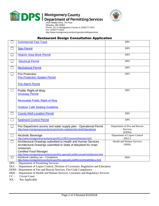

## **DPS** Montgomery County<br>Department of Permitting Services



Wheaton, MD 20902 Phone: 311 in Montgomery County or (240)777-0311 Fax: (240)777-6262 http://www.montgomerycountymd.gov/permittingservices

#### Restaurant Design Consultation Application

| L.            | <b>Commercial Fast Track</b>                                                                                                                                                                                                                                  | <b>DPS</b>                                                 |
|---------------|---------------------------------------------------------------------------------------------------------------------------------------------------------------------------------------------------------------------------------------------------------------|------------------------------------------------------------|
|               | <b>Sign Permit</b>                                                                                                                                                                                                                                            | <b>DPS</b>                                                 |
|               | <b>Historic Area Work Permit</b>                                                                                                                                                                                                                              | <b>DPS</b>                                                 |
|               | <b>Electrical Permit</b>                                                                                                                                                                                                                                      | <b>DPS</b>                                                 |
|               | <b>Mechanical Permit</b>                                                                                                                                                                                                                                      | <b>DPS</b>                                                 |
|               | <b>Fire Protection</b><br><b>Fire Protection System Permit</b><br><b>Fire Alarm Permit</b>                                                                                                                                                                    | <b>DPS</b>                                                 |
|               | Public Right-of-Way<br><b>Driveway Permit</b>                                                                                                                                                                                                                 | <b>DPS</b>                                                 |
|               | <b>Revocable Public Right-of-Way</b><br><b>Outdoor Café Seating Guideline</b>                                                                                                                                                                                 |                                                            |
|               | <b>County Well Location Permit</b>                                                                                                                                                                                                                            | <b>DPS</b>                                                 |
|               | <b>Sediment Control Permit</b>                                                                                                                                                                                                                                | <b>DPS</b>                                                 |
| $\mathcal{L}$ | Fire Department access and water supply plan - Operational Permit<br>http://www.montgomerycountymd.gov/mcfrs-code/permits.html#Operational                                                                                                                    | Department of Fire and Rescue<br><b>Services</b><br>(DFRS) |
|               | Alcoholic Beverage<br>http://www.montgomerycountymd.gov/DLCLRE/Licensure/licenses.html                                                                                                                                                                        | Department of Liquor Control<br>(DLC)                      |
|               | Architectural Drawings submitted to Health and Human Services<br>Architectural Drawings submitted to State of Maryland for chain<br>restaurant<br><b>Certified Food Manager</b><br>http://www.montgomerycountymd.gov/hhs-special/LandRLicenseFoodService.html | <b>Health and Human Services</b><br>(HHS)                  |
| <b>DDQ</b>    | Nutritional Labeling Law - Compliance<br>http://www.montgomerycountymd.gov/hhs-special/LandREnviroHealthMenu.html<br>$\mathbf{r}$ and the contract of $\mathbf{r}$                                                                                            | <b>HHS</b>                                                 |

DPS – Department of Permitting Services

DLC – Department of Liquor Control, Division of Licensure, Regulation and Education

DFRS –Department of Fire and Rescue Services, Fire Code Compliance

HHS – Department of Health and Human Services, Licensure and Regulatory Services CC – Circuit Court

Circuit Court

NA – Not Applicable